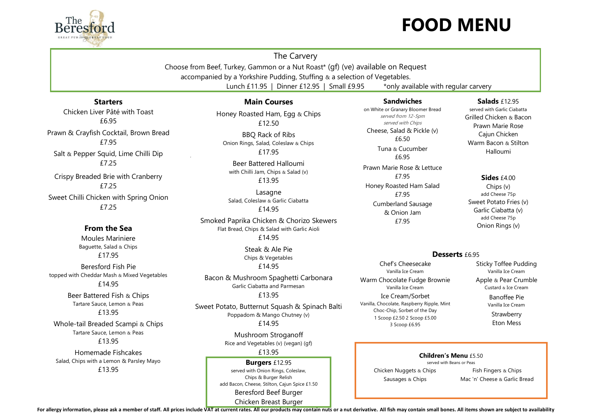

The Carvery

Choose from Beef, Turkey, Gammon or a Nut Roast\* (gf) (ve) available on Request accompanied by a Yorkshire Pudding, Stuffing & a selection of Vegetables.

Lunch £11.95 | Dinner £12.95 | Small £9.95  $\rightarrow$  \*only available with regular carvery

# **Starters**

Chicken Liver Pâté with Toast £6.95 Prawn & Crayfish Cocktail, Brown Bread £7.95 Salt & Pepper Squid, Lime Chilli Dip £7.25 Crispy Breaded Brie with Cranberry

£7.25 Sweet Chilli Chicken with Spring Onion £7.25

## **From the Sea**

Moules Mariniere Baguette, Salad & Chips £17.95

Beresford Fish Pie topped with Cheddar Mash & Mixed Vegetables £14.95

> Beer Battered Fish & Chips Tartare Sauce, Lemon & Peas £13.95

Whole-tail Breaded Scampi & Chips Tartare Sauce, Lemon & Peas £13.95

Homemade Fishcakes Salad, Chips with a Lemon & Parsley Mayo £13.95

## **Main Courses**

Honey Roasted Ham, Egg & Chips £12.50

BBQ Rack of Ribs Onion Rings, Salad, Coleslaw & Chips £17.95

Beer Battered Halloumi with Chilli Jam, Chips & Salad (v) £13.95

Lasagne Salad, Coleslaw & Garlic Ciabatta £14.95

Smoked Paprika Chicken & Chorizo Skewers Flat Bread, Chips & Salad with Garlic Aioli £14.95

> Steak & Ale Pie Chips & Vegetables £14.95

Bacon & Mushroom Spaghetti Carbonara Garlic Ciabatta and Parmesan £13.95

Sweet Potato, Butternut Squash & Spinach Balti Poppadom & Mango Chutney (v) £14.95

> Mushroom Stroganoff Rice and Vegetables (v) (vegan) (gf) £13.95

**Burgers** £12.95 served with Onion Rings, Coleslaw, Chips & Burger Relish add Bacon, Cheese, Stilton, Cajun Spice £1.50 Beresford Beef Burger Chicken Breast Burger

#### **Sandwiches** on White or Granary Bloomer Bread

served from 12-5pm served with Chips Cheese, Salad & Pickle (v) £6.50 Tuna & Cucumber £6.95 Prawn Marie Rose & Lettuce £7.95 Honey Roasted Ham Salad £7.95 Cumberland Sausage & Onion Jam £7.95

### **Salads** £12.95

served with Garlic Ciabatta Grilled Chicken & Bacon Prawn Marie Rose Cajun Chicken Warm Bacon & Stilton Halloumi

#### **Sides** £4.00

Chips (v) add Cheese 75p Sweet Potato Fries (v) Garlic Ciabatta (v) add Cheese 75p Onion Rings (v)

#### Desserts £6.95

Chef's Cheesecake Vanilla Ice Cream Warm Chocolate Fudge Brownie Vanilla Ice Cream

Ice Cream/Sorbet Vanilla, Chocolate, Raspberry Ripple, Mint Choc-Chip, Sorbet of the Day 1 Scoop £2.50 2 Scoop £5.00 3 Scoop £6.95

Sticky Toffee Pudding Vanilla Ice Cream Apple & Pear Crumble Custard & Ice Cream

Banoffee Pie Vanilla Ice Cream

**Strawberry** Eton Mess

#### **Children's Menu** £5.50 served with Beans or Peas

Chicken Nuggets & Chips Sausages & Chips

Fish Fingers & Chips Mac 'n' Cheese & Garlic Bread

For allergy information, please ask a member of staff. All prices include VAT at current rates. All our products may contain nuts or a nut derivative. All fish may contain small bones. All items shown are subject to availa